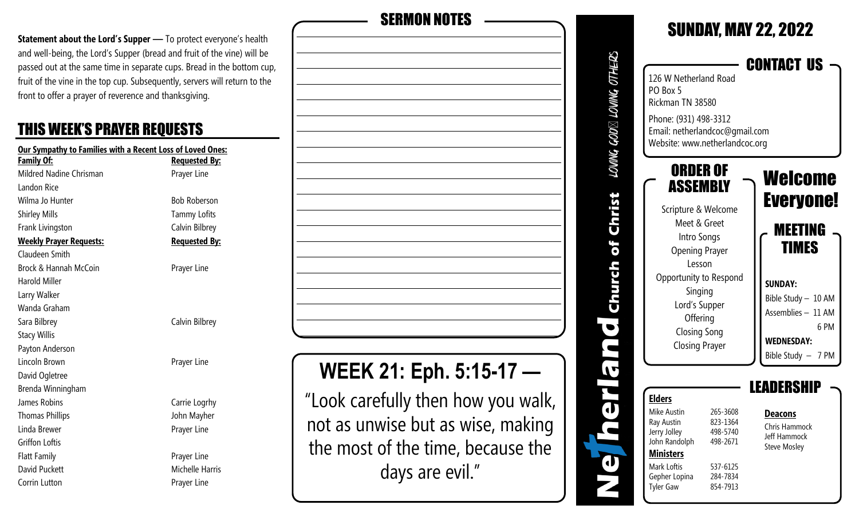**Statement about the Lord's Supper** — To protect everyone's health and well-being, the Lord's Supper (bread and fruit of the vine) will be passed out at the same time in separate cups. Bread in the bottom cup, fruit of the vine in the top cup. Subsequently, servers will return to the front to offer a prayer of reverence and thanksgiving.

### THIS WEEK'S PRAYER REQUESTS

| Our Sympathy to Families with a Recent Loss of Loved Ones: |                      |  |  |
|------------------------------------------------------------|----------------------|--|--|
| <u>Family Of:</u>                                          | <u>Requested By:</u> |  |  |
| Mildred Nadine Chrisman                                    | Prayer Line          |  |  |
| Landon Rice                                                |                      |  |  |
| Wilma Jo Hunter                                            | <b>Bob Roberson</b>  |  |  |
| <b>Shirley Mills</b>                                       | <b>Tammy Lofits</b>  |  |  |
| Frank Livingston                                           | Calvin Bilbrey       |  |  |
| <b>Weekly Prayer Requests:</b>                             | <b>Requested By:</b> |  |  |
| Claudeen Smith                                             |                      |  |  |
| Brock & Hannah McCoin                                      | Prayer Line          |  |  |
| Harold Miller                                              |                      |  |  |
| Larry Walker                                               |                      |  |  |
| Wanda Graham                                               |                      |  |  |
| Sara Bilbrey                                               | Calvin Bilbrey       |  |  |
| <b>Stacy Willis</b>                                        |                      |  |  |
| Payton Anderson                                            |                      |  |  |
| Lincoln Brown                                              | Prayer Line          |  |  |
| David Ogletree                                             |                      |  |  |
| Brenda Winningham                                          |                      |  |  |
| James Robins                                               | Carrie Logrhy        |  |  |
| <b>Thomas Phillips</b>                                     | John Mayher          |  |  |
| Linda Brewer                                               | Prayer Line          |  |  |
| Griffon Loftis                                             |                      |  |  |
| <b>Flatt Family</b>                                        | Prayer Line          |  |  |
| David Puckett                                              | Michelle Harris      |  |  |

Corrin Lutton **Prayer Line** 

**WEEK 21: Eph. 5:15-17 —**  "Look carefully then how you walk, not as unwise but as wise, making the most of the time, because the SERMON NOTES

days are evil."

#### SUNDAY, MAY 22, 2022 LOWNG GOD $\boxtimes$  LOWNG OTHERS CONTACT US 126 W Netherland Road PO Box 5 Rickman TN 38580 Phone: (931) 498-3312 Email: netherlandcoc@gmail.com Website: www.netherlandcoc.org ORDER OF Welcome ASSEMBLY Christ Everyone! Scripture & Welcome Meet & Greet MEETING Intro Songs of TIMES Opening Prayer Lesson Church Opportunity to Respond **SUNDAY:** Singing Bible Study – 10 AM Lord's Supper Assemblies – 11 AM **Offering**  $\bullet$  6 PM Closing Song **WEDNESDAY:** Closing Prayer Bible Study – 7 PM  $\overline{\mathbf{v}}$ LEADERSHIP  $\ddot{\phantom{a}}$ **Elders** Mike Austin 265-3608 **Deacons** Ray Austin 823-1364 Chris Hammock Jerry Jolley 498-5740 Jeff Hammock John Randolph 498-2671 Steve Mosley **Ministers** đ Mark Loftis 537-6125 Gepher Lopina 284-7834 Tyler Gaw 854-7913